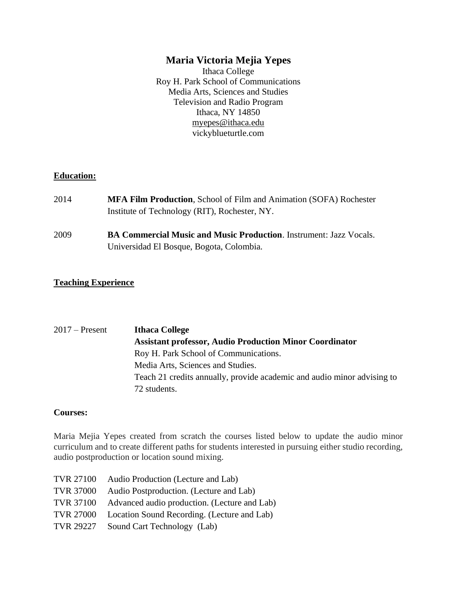# **Maria Victoria Mejia Yepes**

Ithaca College Roy H. Park School of Communications Media Arts, Sciences and Studies Television and Radio Program Ithaca, NY 14850 [myepes@ithaca.edu](mailto:myepes@ithaca.edu) vickyblueturtle.com

### **Education:**

| 2014 | <b>MFA Film Production, School of Film and Animation (SOFA) Rochester</b> |
|------|---------------------------------------------------------------------------|
|      | Institute of Technology (RIT), Rochester, NY.                             |
| 2009 | <b>BA Commercial Music and Music Production.</b> Instrument: Jazz Vocals. |
|      | Universidad El Bosque, Bogota, Colombia.                                  |

### **Teaching Experience**

2017 – Present **Ithaca College Assistant professor, Audio Production Minor Coordinator** Roy H. Park School of Communications. Media Arts, Sciences and Studies. Teach 21 credits annually, provide academic and audio minor advising to 72 students.

#### **Courses:**

Maria Mejia Yepes created from scratch the courses listed below to update the audio minor curriculum and to create different paths for students interested in pursuing either studio recording, audio postproduction or location sound mixing.

| TVR 27100        | Audio Production (Lecture and Lab)           |
|------------------|----------------------------------------------|
| <b>TVR 37000</b> | Audio Postproduction. (Lecture and Lab)      |
| TVR 37100        | Advanced audio production. (Lecture and Lab) |
| <b>TVR 27000</b> | Location Sound Recording. (Lecture and Lab)  |
| TVR 29227        | Sound Cart Technology (Lab)                  |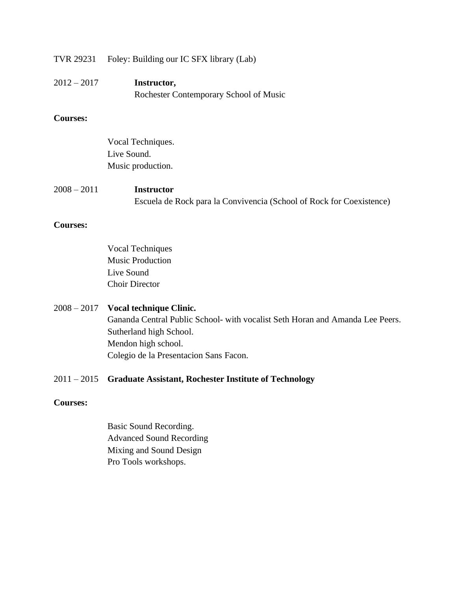TVR 29231 Foley: Building our IC SFX library (Lab)

| $2012 - 2017$ | Instructor,                            |
|---------------|----------------------------------------|
|               | Rochester Contemporary School of Music |

## **Courses:**

|               | Vocal Techniques.                                                    |
|---------------|----------------------------------------------------------------------|
|               | Live Sound.                                                          |
|               | Music production.                                                    |
| $2008 - 2011$ | <b>Instructor</b>                                                    |
|               | Escuela de Rock para la Convivencia (School of Rock for Coexistence) |

#### **Courses:**

Vocal Techniques Music Production Live Sound Choir Director

### 2008 – 2017 **Vocal technique Clinic.**

Gananda Central Public School- with vocalist Seth Horan and Amanda Lee Peers. Sutherland high School. Mendon high school. Colegio de la Presentacion Sans Facon.

## 2011 – 2015 **Graduate Assistant, Rochester Institute of Technology**

### **Courses:**

Basic Sound Recording. Advanced Sound Recording Mixing and Sound Design Pro Tools workshops.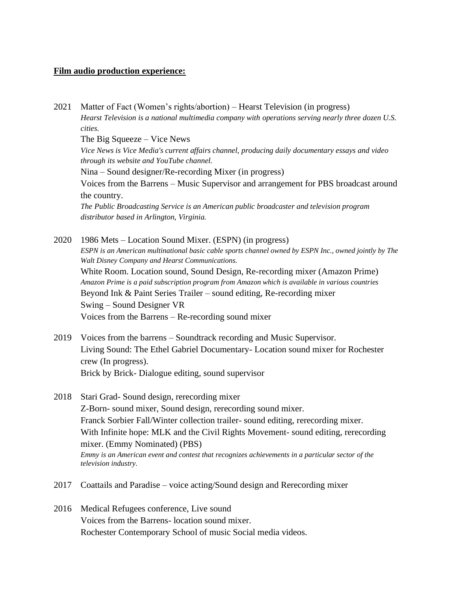#### **Film audio production experience:**

2021 Matter of Fact (Women's rights/abortion) – Hearst Television (in progress) *Hearst Television is a national multimedia company with operations serving nearly three dozen U.S. cities.* The Big Squeeze – Vice News *Vice News is Vice Media's current affairs channel, producing daily documentary essays and video through its website and YouTube channel.* Nina – Sound designer/Re-recording Mixer (in progress) Voices from the Barrens – Music Supervisor and arrangement for PBS broadcast around the country. *The Public Broadcasting Service is an American public broadcaster and television program distributor based in Arlington, Virginia.* 2020 1986 Mets – Location Sound Mixer. (ESPN) (in progress) *ESPN is an American multinational basic cable sports channel owned by ESPN Inc., owned jointly by The Walt Disney Company and Hearst Communications.* White Room. Location sound, Sound Design, Re-recording mixer (Amazon Prime)

*Amazon Prime is a paid subscription program from Amazon which is available in various countries* Beyond Ink & Paint Series Trailer – sound editing, Re-recording mixer Swing – Sound Designer VR

Voices from the Barrens – Re-recording sound mixer

- 2019 Voices from the barrens Soundtrack recording and Music Supervisor. Living Sound: The Ethel Gabriel Documentary- Location sound mixer for Rochester crew (In progress). Brick by Brick- Dialogue editing, sound supervisor
- 2018 Stari Grad- Sound design, rerecording mixer Z-Born- sound mixer, Sound design, rerecording sound mixer. Franck Sorbier Fall/Winter collection trailer- sound editing, rerecording mixer. With Infinite hope: MLK and the Civil Rights Movement- sound editing, rerecording mixer. (Emmy Nominated) (PBS) *Emmy is an American event and contest that recognizes achievements in a particular sector of the television industry.*
- 2017 Coattails and Paradise voice acting/Sound design and Rerecording mixer
- 2016 Medical Refugees conference, Live sound Voices from the Barrens- location sound mixer. Rochester Contemporary School of music Social media videos.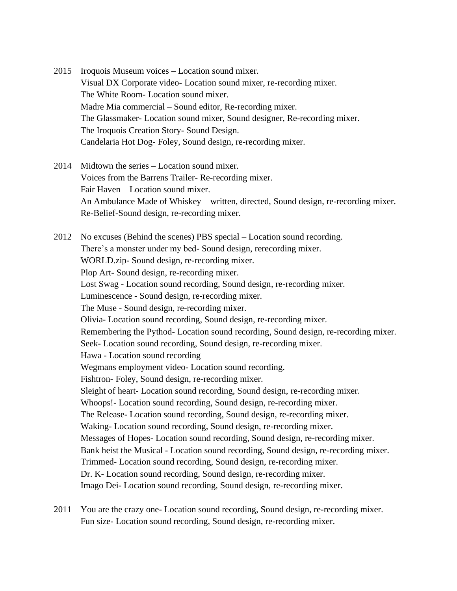- 2015 Iroquois Museum voices Location sound mixer. Visual DX Corporate video- Location sound mixer, re-recording mixer. The White Room- Location sound mixer. Madre Mia commercial – Sound editor, Re-recording mixer. The Glassmaker- Location sound mixer, Sound designer, Re-recording mixer. The Iroquois Creation Story- Sound Design. Candelaria Hot Dog- Foley, Sound design, re-recording mixer.
- 2014 Midtown the series Location sound mixer. Voices from the Barrens Trailer- Re-recording mixer. Fair Haven – Location sound mixer. An Ambulance Made of Whiskey – written, directed, Sound design, re-recording mixer. Re-Belief-Sound design, re-recording mixer.

2012 No excuses (Behind the scenes) PBS special – Location sound recording. There's a monster under my bed- Sound design, rerecording mixer. WORLD.zip- Sound design, re-recording mixer. Plop Art- Sound design, re-recording mixer. Lost Swag - Location sound recording, Sound design, re-recording mixer. Luminescence - Sound design, re-recording mixer. The Muse - Sound design, re-recording mixer. Olivia- Location sound recording, Sound design, re-recording mixer. Remembering the Pythod- Location sound recording, Sound design, re-recording mixer. Seek- Location sound recording, Sound design, re-recording mixer. Hawa - Location sound recording Wegmans employment video- Location sound recording. Fishtron- Foley, Sound design, re-recording mixer. Sleight of heart- Location sound recording, Sound design, re-recording mixer. Whoops!- Location sound recording, Sound design, re-recording mixer. The Release- Location sound recording, Sound design, re-recording mixer. Waking- Location sound recording, Sound design, re-recording mixer. Messages of Hopes- Location sound recording, Sound design, re-recording mixer. Bank heist the Musical - Location sound recording, Sound design, re-recording mixer. Trimmed- Location sound recording, Sound design, re-recording mixer. Dr. K- Location sound recording, Sound design, re-recording mixer. Imago Dei- Location sound recording, Sound design, re-recording mixer.

2011 You are the crazy one- Location sound recording, Sound design, re-recording mixer. Fun size- Location sound recording, Sound design, re-recording mixer.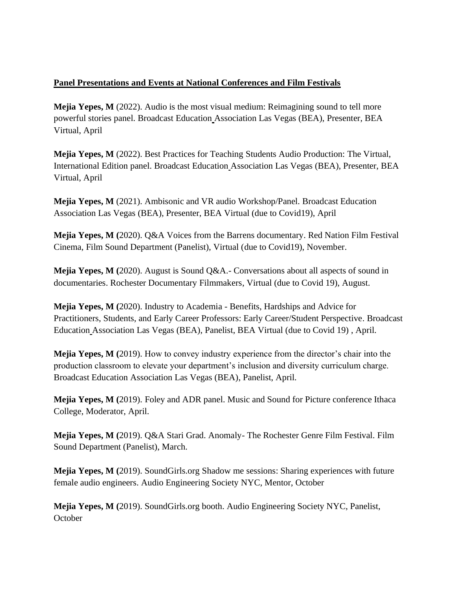# **Panel Presentations and Events at National Conferences and Film Festivals**

**Mejia Yepes, M** (2022). Audio is the most visual medium: Reimagining sound to tell more powerful stories panel. Broadcast Education Association Las Vegas (BEA), Presenter, BEA Virtual, April

**Mejia Yepes, M** (2022). Best Practices for Teaching Students Audio Production: The Virtual, International Edition panel. Broadcast Education Association Las Vegas (BEA), Presenter, BEA Virtual, April

**Mejia Yepes, M** (2021). Ambisonic and VR audio Workshop/Panel. Broadcast Education Association Las Vegas (BEA), Presenter, BEA Virtual (due to Covid19), April

**Mejia Yepes, M (**2020). Q&A Voices from the Barrens documentary. Red Nation Film Festival Cinema, Film Sound Department (Panelist), Virtual (due to Covid19), November.

**Mejia Yepes, M (**2020). August is Sound Q&A.- Conversations about all aspects of sound in documentaries. Rochester Documentary Filmmakers, Virtual (due to Covid 19), August.

**Mejia Yepes, M (**2020). Industry to Academia - Benefits, Hardships and Advice for Practitioners, Students, and Early Career Professors: Early Career/Student Perspective. Broadcast Education Association Las Vegas (BEA), Panelist, BEA Virtual (due to Covid 19) , April.

**Mejia Yepes, M (**2019). How to convey industry experience from the director's chair into the production classroom to elevate your department's inclusion and diversity curriculum charge. Broadcast Education Association Las Vegas (BEA), Panelist, April.

**Mejia Yepes, M (**2019). Foley and ADR panel. Music and Sound for Picture conference Ithaca College, Moderator, April.

**Mejia Yepes, M (**2019). Q&A Stari Grad. Anomaly- The Rochester Genre Film Festival. Film Sound Department (Panelist), March.

**Mejia Yepes, M (**2019). SoundGirls.org Shadow me sessions: Sharing experiences with future female audio engineers. Audio Engineering Society NYC, Mentor, October

**Mejia Yepes, M (**2019). SoundGirls.org booth. Audio Engineering Society NYC, Panelist, **October**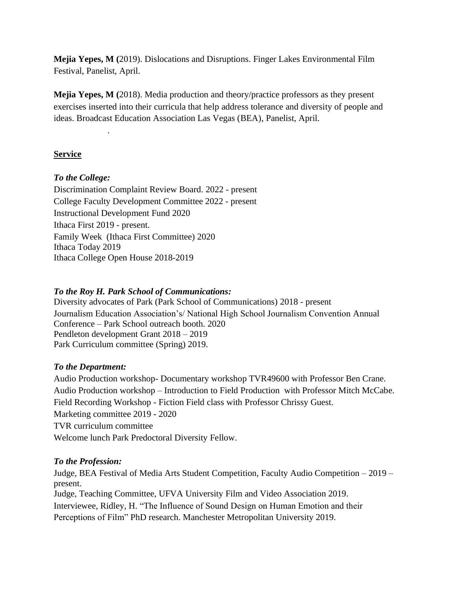**Mejia Yepes, M (**2019). Dislocations and Disruptions. Finger Lakes Environmental Film Festival, Panelist, April.

**Mejia Yepes, M (**2018). Media production and theory/practice professors as they present exercises inserted into their curricula that help address tolerance and diversity of people and ideas. Broadcast Education Association Las Vegas (BEA), Panelist, April.

# **Service**

## *To the College:*

.

Discrimination Complaint Review Board. 2022 - present College Faculty Development Committee 2022 - present Instructional Development Fund 2020 Ithaca First 2019 - present. Family Week (Ithaca First Committee) 2020 Ithaca Today 2019 Ithaca College Open House 2018-2019

## *To the Roy H. Park School of Communications:*

Diversity advocates of Park (Park School of Communications) 2018 - present Journalism Education Association's/ National High School Journalism Convention Annual Conference – Park School outreach booth. 2020 Pendleton development Grant 2018 – 2019 Park Curriculum committee (Spring) 2019.

## *To the Department:*

Audio Production workshop- Documentary workshop TVR49600 with Professor Ben Crane. Audio Production workshop – Introduction to Field Production with Professor Mitch McCabe. Field Recording Workshop - Fiction Field class with Professor Chrissy Guest. Marketing committee 2019 - 2020 TVR curriculum committee Welcome lunch Park Predoctoral Diversity Fellow.

## *To the Profession:*

Judge, BEA Festival of Media Arts Student Competition, Faculty Audio Competition – 2019 – present.

Judge, Teaching Committee, UFVA University Film and Video Association 2019. Interviewee, Ridley, H. "The Influence of Sound Design on Human Emotion and their Perceptions of Film" PhD research. Manchester Metropolitan University 2019.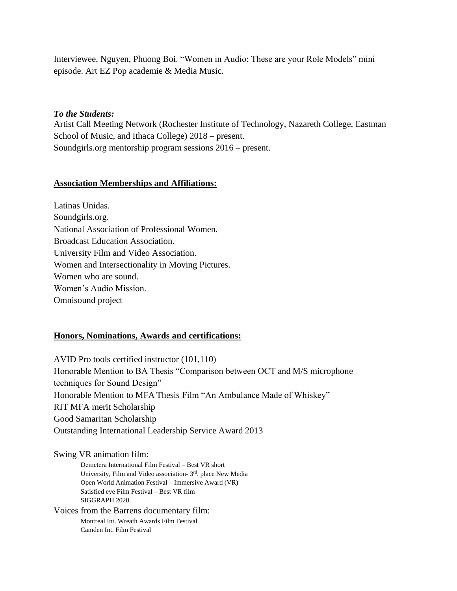Interviewee, Nguyen, Phuong Boi. "Women in Audio; These are your Role Models" mini episode. Art EZ Pop academie & Media Music.

#### *To the Students:*

Artist Call Meeting Network (Rochester Institute of Technology, Nazareth College, Eastman School of Music, and Ithaca College) 2018 – present. Soundgirls.org mentorship program sessions 2016 – present.

#### **Association Memberships and Affiliations:**

Latinas Unidas. Soundgirls.org. National Association of Professional Women. Broadcast Education Association. University Film and Video Association. Women and Intersectionality in Moving Pictures. Women who are sound. Women's Audio Mission. Omnisound project

### **Honors, Nominations, Awards and certifications:**

AVID Pro tools certified instructor (101,110) Honorable Mention to BA Thesis "Comparison between OCT and M/S microphone techniques for Sound Design" Honorable Mention to MFA Thesis Film "An Ambulance Made of Whiskey" RIT MFA merit Scholarship Good Samaritan Scholarship Outstanding International Leadership Service Award 2013

#### Swing VR animation film:

Demetera International Film Festival – Best VR short University, Film and Video association- 3rd. place New Media Open World Animation Festival – Immersive Award (VR) Satisfied eye Film Festival – Best VR film SIGGRAPH 2020.

Voices from the Barrens documentary film: Montreal Int. Wreath Awards Film Festival Camden Int. Film Festival